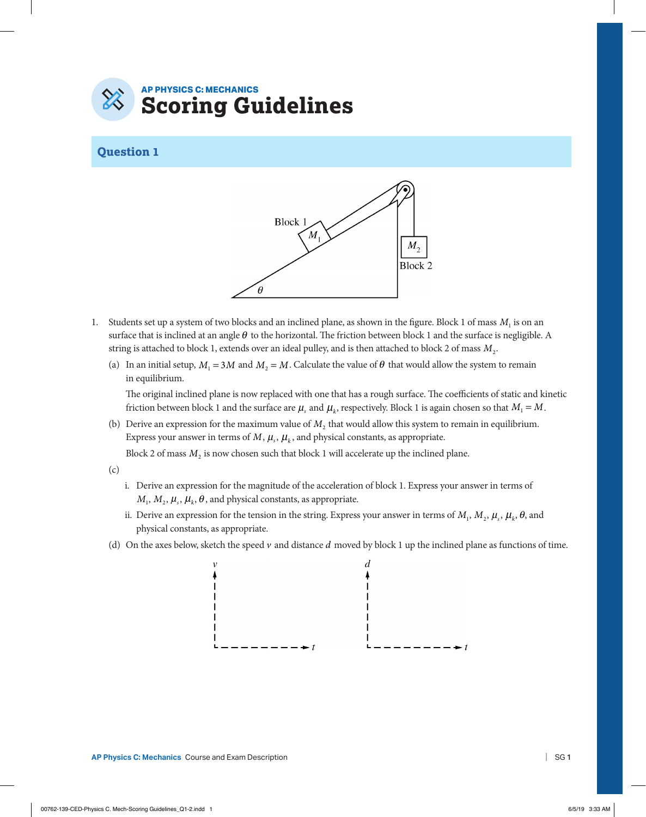## **AP PHYSICS C: MECHANICS Scoring Guidelines**

## **Question 1**



- 1. Students set up a system of two blocks and an inclined plane, as shown in the figure. Block 1 of mass  $M_1$  is on an surface that is inclined at an angle  $\theta$  to the horizontal. The friction between block 1 and the surface is negligible. A string is attached to block 1, extends over an ideal pulley, and is then attached to block 2 of mass *M*2.
	- (a) In an initial setup,  $M_1 = 3M$  and  $M_2 = M$ . Calculate the value of  $\theta$  that would allow the system to remain in equilibrium.

 The original inclined plane is now replaced with one that has a rough surface. The coefficients of static and kinetic friction between block 1 and the surface are  $\mu_s$  and  $\mu_k$ , respectively. Block 1 is again chosen so that  $M_1 = M$ .

(b) Derive an expression for the maximum value of  $M<sub>2</sub>$  that would allow this system to remain in equilibrium. Express your answer in terms of  $M$ ,  $\mu_s$ ,  $\mu_k$ , and physical constants, as appropriate.

Block 2 of mass  $M<sub>2</sub>$  is now chosen such that block 1 will accelerate up the inclined plane.

- (c)
- i. Derive an expression for the magnitude of the acceleration of block 1. Express your answer in terms of  $M_1, M_2, \mu_s, \mu_k, \theta$ , and physical constants, as appropriate.
- ii. Derive an expression for the tension in the string. Express your answer in terms of  $M_1, M_2, \mu_s, \mu_k, \theta$ , and physical constants, as appropriate.
- (d) On the axes below, sketch the speed *v* and distance *d* moved by block 1 up the inclined plane as functions of time.



**AP Physics C: Mechanics Course and Exam Description**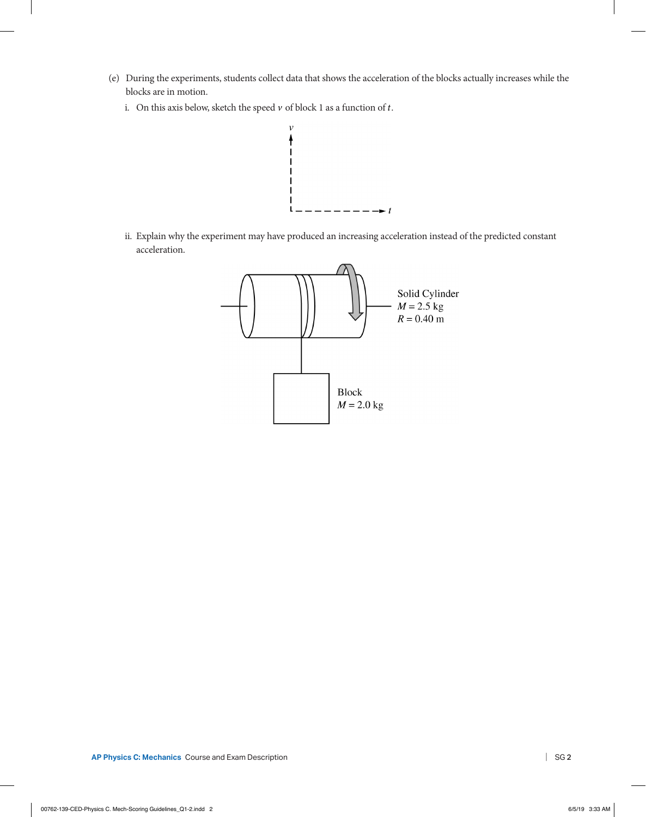- (e) During the experiments, students collect data that shows the acceleration of the blocks actually increases while the blocks are in motion.
	- i. On this axis below, sketch the speed  $v$  of block  $1$  as a function of  $t.$



ii. Explain why the experiment may have produced an increasing acceleration instead of the predicted constant acceleration.

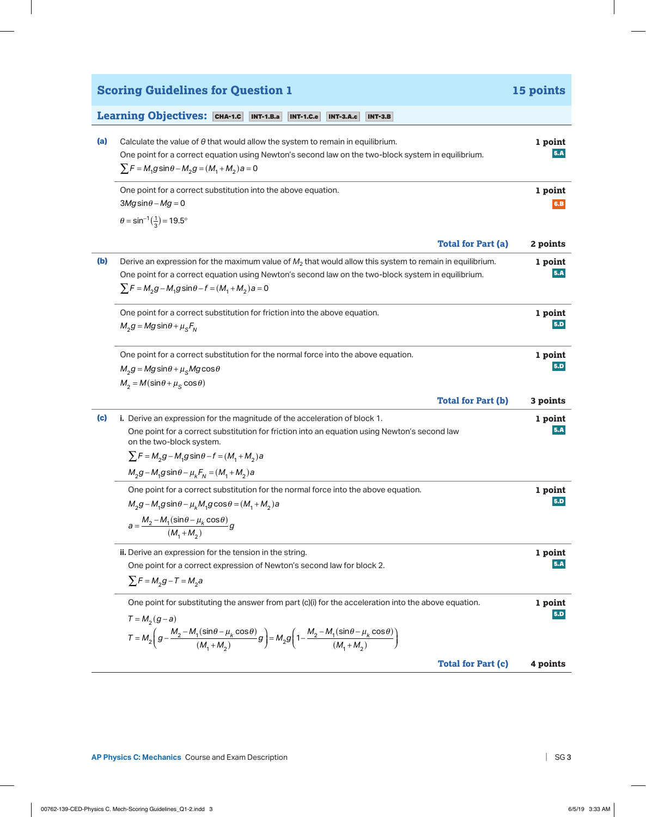|     | <b>Scoring Guidelines for Question 1</b>                                                                                                                                                                                                                                                                      | 15 points      |
|-----|---------------------------------------------------------------------------------------------------------------------------------------------------------------------------------------------------------------------------------------------------------------------------------------------------------------|----------------|
|     | Learning Objectives: CHA-1.C<br><b>INT-1.B.a</b><br><b>INT-1.C.e</b><br><b>INT-3.A.c</b><br><b>INT-3.B</b>                                                                                                                                                                                                    |                |
| (a) | Calculate the value of $\theta$ that would allow the system to remain in equilibrium.<br>One point for a correct equation using Newton's second law on the two-block system in equilibrium.<br>$\sum F = M_1 g \sin \theta - M_2 g = (M_1 + M_2) a = 0$                                                       | 1 point<br>5.A |
|     | One point for a correct substitution into the above equation.<br>$3Mg\sin\theta - Mg = 0$<br>$\theta = \sin^{-1}(\frac{1}{3}) = 19.5^{\circ}$                                                                                                                                                                 | 1 point<br>6.B |
|     | <b>Total for Part (a)</b>                                                                                                                                                                                                                                                                                     | 2 points       |
| (b) | Derive an expression for the maximum value of $M_2$ that would allow this system to remain in equilibrium.<br>One point for a correct equation using Newton's second law on the two-block system in equilibrium.<br>$\sum F = M_2 g - M_1 g \sin \theta - f = (M_1 + M_2) a = 0$                              | 1 point<br>5.A |
|     | One point for a correct substitution for friction into the above equation.<br>$M_2 g = Mg \sin\theta + \mu_s F_N$                                                                                                                                                                                             | 1 point<br>5.D |
|     | One point for a correct substitution for the normal force into the above equation.<br>$M_2 g = Mg \sin\theta + \mu_S Mg \cos\theta$<br>$M_2 = M(\sin\theta + \mu_S \cos\theta)$                                                                                                                               | 1 point<br>5.D |
|     | <b>Total for Part (b)</b>                                                                                                                                                                                                                                                                                     | 3 points       |
| (c) | i. Derive an expression for the magnitude of the acceleration of block 1.<br>One point for a correct substitution for friction into an equation using Newton's second law<br>on the two-block system.<br>$\sum F = M_2 g - M_1 g \sin \theta - f = (M_1 + M_2) a$                                             | 1 point<br>5.A |
|     | $M_2 g - M_1 g \sin \theta - \mu_k F_N = (M_1 + M_2) a$                                                                                                                                                                                                                                                       |                |
|     | One point for a correct substitution for the normal force into the above equation.<br>$M_2g - M_1g \sin\theta - \mu_k M_1g \cos\theta = (M_1 + M_2)a$<br>$a = \frac{M_2 - M_1(\sin\theta - \mu_k \cos\theta)}{(M_1 + M_2)}g$                                                                                  | 1 point<br>5.D |
|     | ii. Derive an expression for the tension in the string.<br>One point for a correct expression of Newton's second law for block 2.<br>$\sum F = M_2 g - T = M_2 a$                                                                                                                                             | 1 point<br>5.A |
|     | One point for substituting the answer from part (c)(i) for the acceleration into the above equation.<br>$T = M_2(g-a)$<br>$T = M_2 \left( g - \frac{M_2 - M_1(\sin\theta - \mu_k \cos\theta)}{(M_1 + M_2)} g \right) = M_2 g \left( 1 - \frac{M_2 - M_1(\sin\theta - \mu_k \cos\theta)}{(M_1 + M_2)} \right)$ | 1 point<br>5.D |
|     | <b>Total for Part (c)</b>                                                                                                                                                                                                                                                                                     | 4 points       |

**AP Physics C: Mechanics** Course and Exam Description |

 $\overline{\phantom{a}}$ 

 $\overline{\phantom{a}}$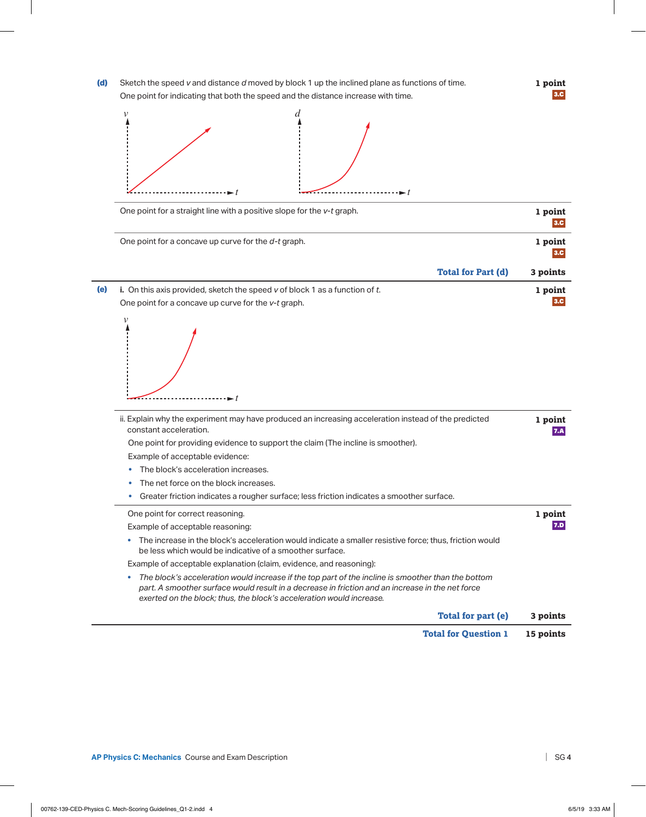



|     | One point for a straight line with a positive slope for the v-t graph.                                                                                                                                                                                                         | 1 point<br>3.C |
|-----|--------------------------------------------------------------------------------------------------------------------------------------------------------------------------------------------------------------------------------------------------------------------------------|----------------|
|     | One point for a concave up curve for the d-t graph.                                                                                                                                                                                                                            | 1 point<br>3.C |
|     | <b>Total for Part (d)</b>                                                                                                                                                                                                                                                      | 3 points       |
| (e) | i. On this axis provided, sketch the speed $v$ of block 1 as a function of $t$ .                                                                                                                                                                                               | 1 point        |
|     | One point for a concave up curve for the v-t graph.                                                                                                                                                                                                                            |                |
|     | $\mathcal V$                                                                                                                                                                                                                                                                   |                |
|     | ii. Explain why the experiment may have produced an increasing acceleration instead of the predicted<br>constant acceleration.                                                                                                                                                 | 1 point<br>7.A |
|     | One point for providing evidence to support the claim (The incline is smoother).                                                                                                                                                                                               |                |
|     | Example of acceptable evidence:                                                                                                                                                                                                                                                |                |
|     | The block's acceleration increases.                                                                                                                                                                                                                                            |                |
|     | The net force on the block increases.                                                                                                                                                                                                                                          |                |
|     | Greater friction indicates a rougher surface; less friction indicates a smoother surface.<br>۰                                                                                                                                                                                 |                |
|     | One point for correct reasoning.                                                                                                                                                                                                                                               | 1 point        |
|     | Example of acceptable reasoning:                                                                                                                                                                                                                                               | 7.D            |
|     | The increase in the block's acceleration would indicate a smaller resistive force; thus, friction would<br>be less which would be indicative of a smoother surface.                                                                                                            |                |
|     | Example of acceptable explanation (claim, evidence, and reasoning):                                                                                                                                                                                                            |                |
|     | The block's acceleration would increase if the top part of the incline is smoother than the bottom<br>part. A smoother surface would result in a decrease in friction and an increase in the net force<br>exerted on the block; thus, the block's acceleration would increase. |                |
|     | Total for part (e)                                                                                                                                                                                                                                                             | 3 points       |
|     | <b>Total for Question 1</b>                                                                                                                                                                                                                                                    | 15 points      |

**1 point** 3.C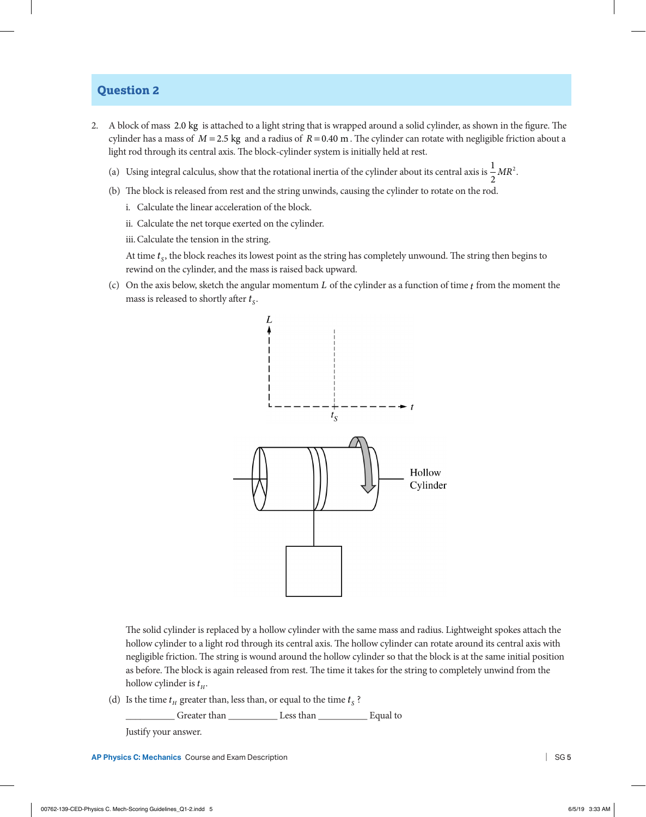## **Question 2**

- 2. A block of mass 2.0 kg is attached to a light string that is wrapped around a solid cylinder, as shown in the figure. The cylinder has a mass of  $M = 2.5$  kg and a radius of  $R = 0.40$  m. The cylinder can rotate with negligible friction about a light rod through its central axis. The block-cylinder system is initially held at rest.
	- (a) Using integral calculus, show that the rotational inertia of the cylinder about its central axis is  $\frac{1}{2}MR^2$ .
	- (b) The block is released from rest and the string unwinds, causing the cylinder to rotate on the rod.
		- i. Calculate the linear acceleration of the block.
		- ii. Calculate the net torque exerted on the cylinder.
		- iii.Calculate the tension in the string.

At time  $t_s$ , the block reaches its lowest point as the string has completely unwound. The string then begins to rewind on the cylinder, and the mass is raised back upward.

(c) On the axis below, sketch the angular momentum *L* of the cylinder as a function of time *t* from the moment the mass is released to shortly after  $t_s$ .



The solid cylinder is replaced by a hollow cylinder with the same mass and radius. Lightweight spokes attach the hollow cylinder to a light rod through its central axis. The hollow cylinder can rotate around its central axis with negligible friction. The string is wound around the hollow cylinder so that the block is at the same initial position as before. The block is again released from rest. The time it takes for the string to completely unwind from the hollow cylinder is  $t_H$ .

(d) Is the time  $t_H$  greater than, less than, or equal to the time  $t_S$ ?

\_\_\_\_\_\_\_\_\_\_ Greater than \_\_\_\_\_\_\_\_\_\_ Less than \_\_\_\_\_\_\_\_\_\_ Equal to

Justify your answer.

**AP Physics C: Mechanics Course and Exam Description** 

| SG<sub>5</sub>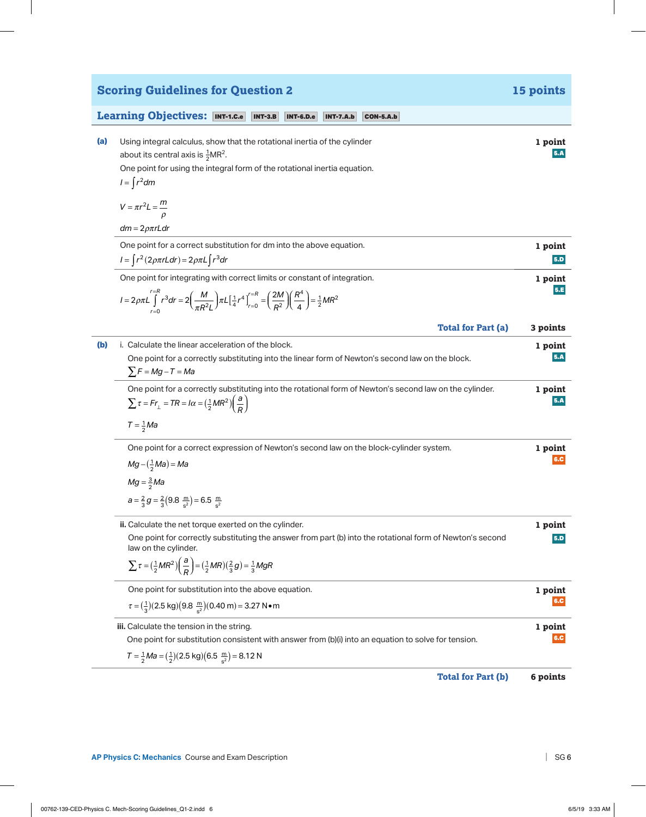**Learning Objectives:** INT-1.C.e INT-3.B INT-6.D.e INT-7.A.b CON-5.A.b

| Using integral calculus, show that the rotational inertia of the cylinder | 1 point |
|---------------------------------------------------------------------------|---------|
| about its central axis is $\frac{1}{2}MR^2$ .                             | 5.A     |
| One point for using the integral form of the rotational inertia equation. |         |
| $I = \int r^2 dm$                                                         |         |

**Scoring Guidelines for Question 2 15 points**

 $V = \pi r^2 L = \frac{m}{\rho}$ 

*dm* = 2ρπ*rLdr*

| One point for a correct substitution for dm into the above equation.                                                                                                                                               | 1 point    |
|--------------------------------------------------------------------------------------------------------------------------------------------------------------------------------------------------------------------|------------|
| $I = \int r^2 (2\rho \pi r L dr) = 2\rho \pi L \int r^3 dr$                                                                                                                                                        | 5.D        |
| One point for integrating with correct limits or constant of integration.                                                                                                                                          | 1 point    |
| $I = 2\rho \pi L \int_{r=0}^{r=R} r^3 dr = 2 \left( \frac{M}{\pi R^2 L} \right) \pi L \left[ \frac{1}{4} r^4 \right]_{r=0}^{r=R} = \left( \frac{2M}{R^2} \right) \left( \frac{R^4}{4} \right) = \frac{1}{2} M R^2$ | <b>5.E</b> |

|     | <b>Total for Part (a)</b>                                                                                                                                                                      | 3 points       |
|-----|------------------------------------------------------------------------------------------------------------------------------------------------------------------------------------------------|----------------|
| (b) | i. Calculate the linear acceleration of the block.<br>One point for a correctly substituting into the linear form of Newton's second law on the block.<br>$\sum F = Mg - T = Ma$               | 1 point<br>5.A |
|     | One point for a correctly substituting into the rotational form of Newton's second law on the cylinder.<br>$\sum \tau = Fr_{\perp} = TR = I\alpha = (\frac{1}{2}MR^2)\left(\frac{a}{R}\right)$ | 1 point<br>5.A |
|     | $T=\frac{1}{2}Ma$                                                                                                                                                                              |                |
|     | One point for a correct expression of Newton's second law on the block-cylinder system.<br>$Mg - (\frac{1}{2}Ma) = Ma$                                                                         | 1 point<br>6.C |

$$
Mg=\frac{3}{2}Ma
$$

 $a = \frac{2}{3}g = \frac{2}{3}(9.8 \frac{m}{s^2}) = 6.5 \frac{m}{s^2}$ 

**ii.** Calculate the net torque exerted on the cylinder. **1** point **1** point One point for correctly substituting the answer from part (b) into the rotational form of Newton's second 5.D law on the cylinder.  $\sum \tau = (\frac{1}{2}MR^2)(\frac{a}{R}) = (\frac{1}{2}MR)(\frac{2}{3}g) = \frac{1}{3}MgR$ 

| One point for substitution into the above equation.                                                                     | 1 point    |
|-------------------------------------------------------------------------------------------------------------------------|------------|
| $\tau = (\frac{1}{3})(2.5 \text{ kg})(9.8 \frac{\text{m}}{\text{s}^2})(0.40 \text{ m}) = 3.27 \text{ N} \cdot \text{m}$ | <b>6.C</b> |
| iii. Calculate the tension in the string.                                                                               | 1 point    |
| One point for substitution consistent with answer from (b)(i) into an equation to solve for tension.                    | 6.C        |
| $T = \frac{1}{2} Ma = (\frac{1}{2})(2.5 \text{ kg})(6.5 \frac{\text{m}}{\text{s}^2}) = 8.12 \text{ N}$                  |            |

**Total for Part (b) 6 points**

AP Physics C: Mechanics Course and Exam Description